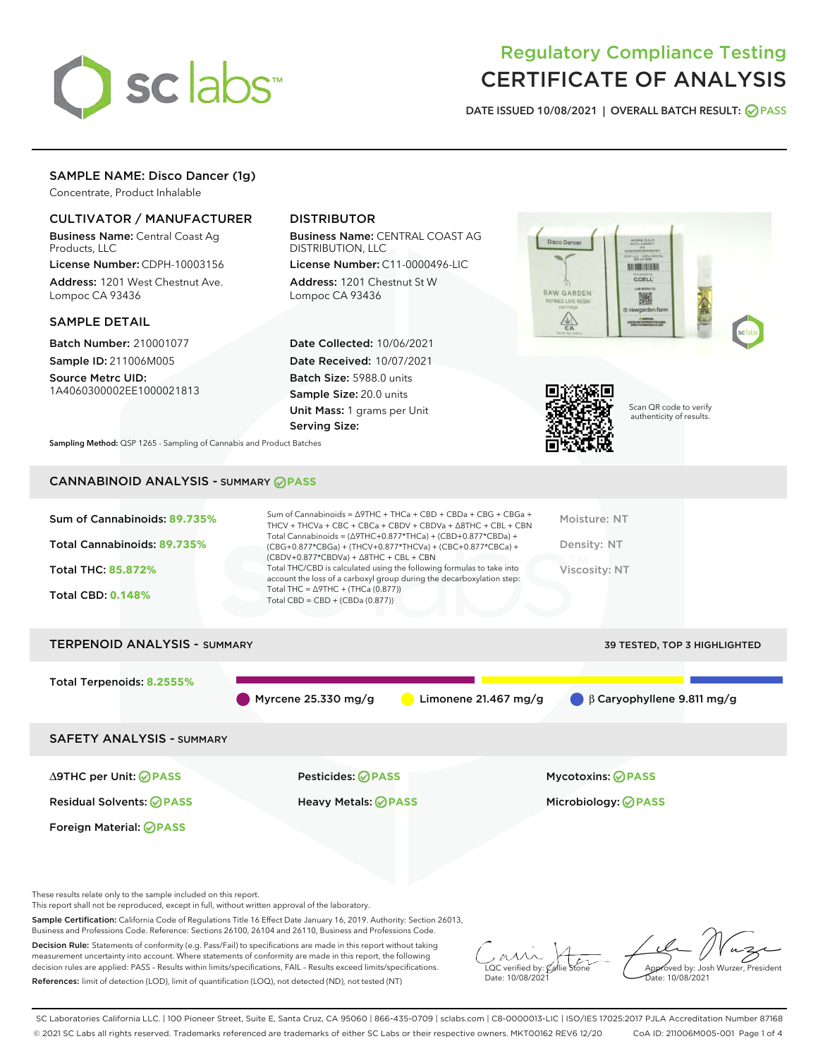

# Regulatory Compliance Testing CERTIFICATE OF ANALYSIS

DATE ISSUED 10/08/2021 | OVERALL BATCH RESULT: @ PASS

# SAMPLE NAME: Disco Dancer (1g)

Concentrate, Product Inhalable

# CULTIVATOR / MANUFACTURER

Business Name: Central Coast Ag Products, LLC

License Number: CDPH-10003156 Address: 1201 West Chestnut Ave. Lompoc CA 93436

#### SAMPLE DETAIL

Batch Number: 210001077 Sample ID: 211006M005 Source Metrc UID:

1A4060300002EE1000021813

# DISTRIBUTOR

Business Name: CENTRAL COAST AG DISTRIBUTION, LLC

License Number: C11-0000496-LIC Address: 1201 Chestnut St W Lompoc CA 93436

Date Collected: 10/06/2021 Date Received: 10/07/2021 Batch Size: 5988.0 units Sample Size: 20.0 units Unit Mass: 1 grams per Unit Serving Size:





Scan QR code to verify authenticity of results.

Sampling Method: QSP 1265 - Sampling of Cannabis and Product Batches

# CANNABINOID ANALYSIS - SUMMARY **PASS**

| Sum of Cannabinoids: 89.735%<br>Total Cannabinoids: 89.735%<br><b>Total THC: 85,872%</b><br><b>Total CBD: 0.148%</b> | Sum of Cannabinoids = $\triangle$ 9THC + THCa + CBD + CBDa + CBG + CBGa +<br>THCV + THCVa + CBC + CBCa + CBDV + CBDVa + $\Delta$ 8THC + CBL + CBN<br>Total Cannabinoids = $(\Delta$ 9THC+0.877*THCa) + (CBD+0.877*CBDa) +<br>(CBG+0.877*CBGa) + (THCV+0.877*THCVa) + (CBC+0.877*CBCa) +<br>$(CBDV+0.877*CBDVa) + \Delta 8THC + CBL + CBN$<br>Total THC/CBD is calculated using the following formulas to take into<br>account the loss of a carboxyl group during the decarboxylation step:<br>Total THC = $\triangle$ 9THC + (THCa (0.877))<br>Total CBD = $CBD + (CBDa (0.877))$ | Moisture: NT<br>Density: NT<br>Viscosity: NT    |  |  |  |  |
|----------------------------------------------------------------------------------------------------------------------|------------------------------------------------------------------------------------------------------------------------------------------------------------------------------------------------------------------------------------------------------------------------------------------------------------------------------------------------------------------------------------------------------------------------------------------------------------------------------------------------------------------------------------------------------------------------------------|-------------------------------------------------|--|--|--|--|
| <b>TERPENOID ANALYSIS - SUMMARY</b><br><b>39 TESTED, TOP 3 HIGHLIGHTED</b>                                           |                                                                                                                                                                                                                                                                                                                                                                                                                                                                                                                                                                                    |                                                 |  |  |  |  |
| Total Terpenoids: 8.2555%                                                                                            | Myrcene $25.330$ mg/g<br>Limonene 21.467 mg/g                                                                                                                                                                                                                                                                                                                                                                                                                                                                                                                                      | $\beta$ Caryophyllene 9.811 mg/g                |  |  |  |  |
| <b>SAFETY ANALYSIS - SUMMARY</b>                                                                                     |                                                                                                                                                                                                                                                                                                                                                                                                                                                                                                                                                                                    |                                                 |  |  |  |  |
| ∆9THC per Unit: ⊘PASS<br><b>Residual Solvents: ⊘PASS</b><br><b>Foreign Material: ⊘PASS</b>                           | Pesticides: ⊘PASS<br>Heavy Metals: <b>OPASS</b>                                                                                                                                                                                                                                                                                                                                                                                                                                                                                                                                    | Mycotoxins: ⊘PASS<br>Microbiology: <b>⊘PASS</b> |  |  |  |  |

These results relate only to the sample included on this report.

This report shall not be reproduced, except in full, without written approval of the laboratory.

Sample Certification: California Code of Regulations Title 16 Effect Date January 16, 2019. Authority: Section 26013, Business and Professions Code. Reference: Sections 26100, 26104 and 26110, Business and Professions Code.

Decision Rule: Statements of conformity (e.g. Pass/Fail) to specifications are made in this report without taking measurement uncertainty into account. Where statements of conformity are made in this report, the following decision rules are applied: PASS – Results within limits/specifications, FAIL – Results exceed limits/specifications. References: limit of detection (LOD), limit of quantification (LOQ), not detected (ND), not tested (NT)

 $\sim$  CC verified by:  $\mathscr{C}$  a Date: 10/08/2021

Approved by: Josh Wurzer, President Date: 10/08/2021

SC Laboratories California LLC. | 100 Pioneer Street, Suite E, Santa Cruz, CA 95060 | 866-435-0709 | sclabs.com | C8-0000013-LIC | ISO/IES 17025:2017 PJLA Accreditation Number 87168 © 2021 SC Labs all rights reserved. Trademarks referenced are trademarks of either SC Labs or their respective owners. MKT00162 REV6 12/20 CoA ID: 211006M005-001 Page 1 of 4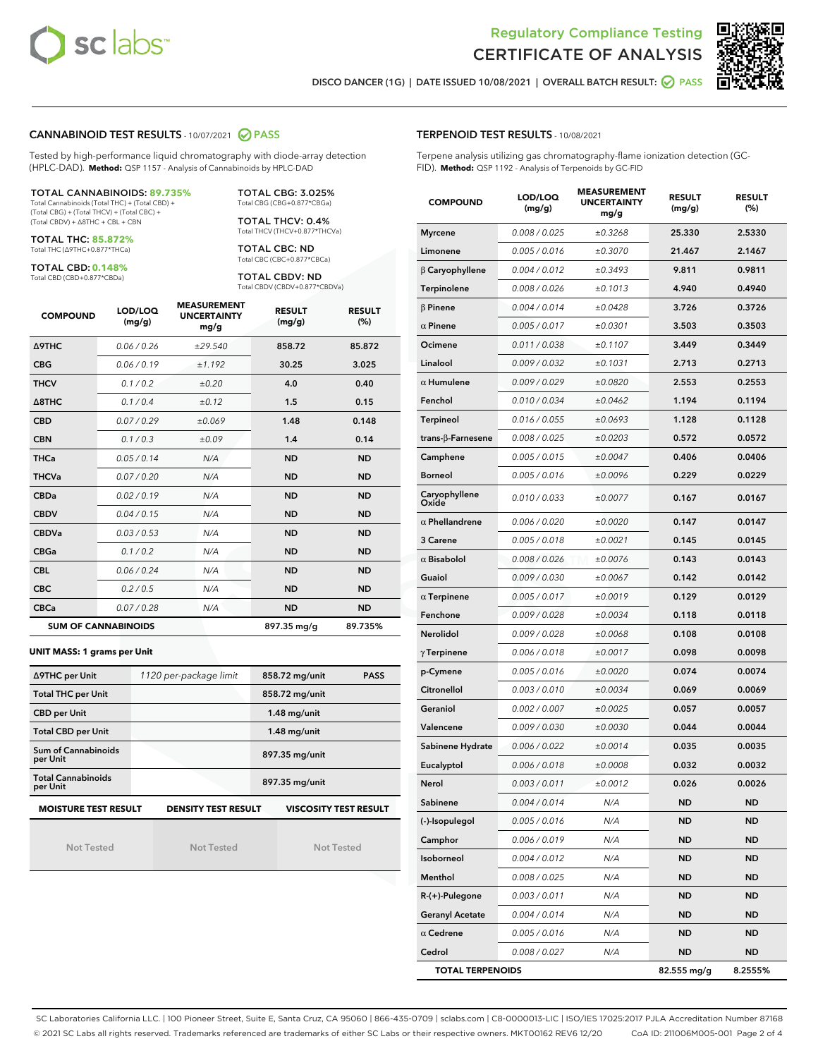



DISCO DANCER (1G) | DATE ISSUED 10/08/2021 | OVERALL BATCH RESULT: **○** PASS

#### CANNABINOID TEST RESULTS - 10/07/2021 2 PASS

Tested by high-performance liquid chromatography with diode-array detection (HPLC-DAD). **Method:** QSP 1157 - Analysis of Cannabinoids by HPLC-DAD

#### TOTAL CANNABINOIDS: **89.735%**

Total Cannabinoids (Total THC) + (Total CBD) + (Total CBG) + (Total THCV) + (Total CBC) + (Total CBDV) + ∆8THC + CBL + CBN

TOTAL THC: **85.872%** Total THC (∆9THC+0.877\*THCa)

TOTAL CBD: **0.148%**

Total CBD (CBD+0.877\*CBDa)

TOTAL CBG: 3.025% Total CBG (CBG+0.877\*CBGa)

TOTAL THCV: 0.4% Total THCV (THCV+0.877\*THCVa)

TOTAL CBC: ND Total CBC (CBC+0.877\*CBCa)

TOTAL CBDV: ND Total CBDV (CBDV+0.877\*CBDVa)

| <b>COMPOUND</b>            | LOD/LOQ<br>(mg/g) | <b>MEASUREMENT</b><br><b>UNCERTAINTY</b><br>mg/g | <b>RESULT</b><br>(mg/g) | <b>RESULT</b><br>(%) |
|----------------------------|-------------------|--------------------------------------------------|-------------------------|----------------------|
| Δ9THC                      | 0.06 / 0.26       | ±29.540                                          | 858.72                  | 85.872               |
| <b>CBG</b>                 | 0.06/0.19         | ±1.192                                           | 30.25                   | 3.025                |
| <b>THCV</b>                | 0.1/0.2           | ±0.20                                            | 4.0                     | 0.40                 |
| $\triangle$ 8THC           | 0.1/0.4           | ±0.12                                            | 1.5                     | 0.15                 |
| <b>CBD</b>                 | 0.07/0.29         | ±0.069                                           | 1.48                    | 0.148                |
| <b>CBN</b>                 | 0.1/0.3           | ±0.09                                            | 1.4                     | 0.14                 |
| <b>THCa</b>                | 0.05/0.14         | N/A                                              | <b>ND</b>               | <b>ND</b>            |
| <b>THCVa</b>               | 0.07/0.20         | N/A                                              | <b>ND</b>               | <b>ND</b>            |
| <b>CBDa</b>                | 0.02/0.19         | N/A                                              | <b>ND</b>               | <b>ND</b>            |
| <b>CBDV</b>                | 0.04 / 0.15       | N/A                                              | <b>ND</b>               | <b>ND</b>            |
| <b>CBDVa</b>               | 0.03/0.53         | N/A                                              | <b>ND</b>               | <b>ND</b>            |
| <b>CBGa</b>                | 0.1 / 0.2         | N/A                                              | <b>ND</b>               | <b>ND</b>            |
| <b>CBL</b>                 | 0.06 / 0.24       | N/A                                              | <b>ND</b>               | <b>ND</b>            |
| <b>CBC</b>                 | 0.2 / 0.5         | N/A                                              | <b>ND</b>               | <b>ND</b>            |
| <b>CBCa</b>                | 0.07/0.28         | N/A                                              | <b>ND</b>               | <b>ND</b>            |
| <b>SUM OF CANNABINOIDS</b> |                   |                                                  | 897.35 mg/g             | 89.735%              |

#### **UNIT MASS: 1 grams per Unit**

| ∆9THC per Unit                        | 1120 per-package limit                                     | 858.72 mg/unit<br><b>PASS</b> |  |  |
|---------------------------------------|------------------------------------------------------------|-------------------------------|--|--|
| <b>Total THC per Unit</b>             |                                                            | 858.72 mg/unit                |  |  |
| <b>CBD per Unit</b>                   |                                                            | $1.48$ mg/unit                |  |  |
| <b>Total CBD per Unit</b>             |                                                            | $1.48$ mg/unit                |  |  |
| Sum of Cannabinoids<br>per Unit       |                                                            | 897.35 mg/unit                |  |  |
| <b>Total Cannabinoids</b><br>per Unit |                                                            | 897.35 mg/unit                |  |  |
| <b>MOISTURE TEST RESULT</b>           | <b>DENSITY TEST RESULT</b><br><b>VISCOSITY TEST RESULT</b> |                               |  |  |

Not Tested

Not Tested

Not Tested

#### TERPENOID TEST RESULTS - 10/08/2021

Terpene analysis utilizing gas chromatography-flame ionization detection (GC-FID). **Method:** QSP 1192 - Analysis of Terpenoids by GC-FID

| <b>COMPOUND</b>         | LOD/LOQ<br>(mg/g) | <b>MEASUREMENT</b><br><b>UNCERTAINTY</b><br>mg/g | <b>RESULT</b><br>(mg/g) | <b>RESULT</b><br>$(\%)$ |
|-------------------------|-------------------|--------------------------------------------------|-------------------------|-------------------------|
| <b>Myrcene</b>          | 0.008 / 0.025     | ±0.3268                                          | 25.330                  | 2.5330                  |
| Limonene                | 0.005 / 0.016     | ±0.3070                                          | 21.467                  | 2.1467                  |
| $\beta$ Caryophyllene   | 0.004 / 0.012     | ±0.3493                                          | 9.811                   | 0.9811                  |
| Terpinolene             | 0.008 / 0.026     | ±0.1013                                          | 4.940                   | 0.4940                  |
| $\beta$ Pinene          | 0.004 / 0.014     | ±0.0428                                          | 3.726                   | 0.3726                  |
| $\alpha$ Pinene         | 0.005 / 0.017     | ±0.0301                                          | 3.503                   | 0.3503                  |
| Ocimene                 | 0.011 / 0.038     | ±0.1107                                          | 3.449                   | 0.3449                  |
| Linalool                | 0.009 / 0.032     | ±0.1031                                          | 2.713                   | 0.2713                  |
| $\alpha$ Humulene       | 0.009/0.029       | ±0.0820                                          | 2.553                   | 0.2553                  |
| Fenchol                 | 0.010 / 0.034     | ±0.0462                                          | 1.194                   | 0.1194                  |
| Terpineol               | 0.016 / 0.055     | ±0.0693                                          | 1.128                   | 0.1128                  |
| trans-β-Farnesene       | 0.008 / 0.025     | ±0.0203                                          | 0.572                   | 0.0572                  |
| Camphene                | 0.005 / 0.015     | ±0.0047                                          | 0.406                   | 0.0406                  |
| <b>Borneol</b>          | 0.005 / 0.016     | ±0.0096                                          | 0.229                   | 0.0229                  |
| Caryophyllene<br>Oxide  | 0.010 / 0.033     | ±0.0077                                          | 0.167                   | 0.0167                  |
| $\alpha$ Phellandrene   | 0.006 / 0.020     | ±0.0020                                          | 0.147                   | 0.0147                  |
| 3 Carene                | 0.005 / 0.018     | ±0.0021                                          | 0.145                   | 0.0145                  |
| $\alpha$ Bisabolol      | 0.008 / 0.026     | ±0.0076                                          | 0.143                   | 0.0143                  |
| Guaiol                  | 0.009 / 0.030     | ±0.0067                                          | 0.142                   | 0.0142                  |
| $\alpha$ Terpinene      | 0.005 / 0.017     | ±0.0019                                          | 0.129                   | 0.0129                  |
| Fenchone                | 0.009 / 0.028     | ±0.0034                                          | 0.118                   | 0.0118                  |
| Nerolidol               | 0.009 / 0.028     | ±0.0068                                          | 0.108                   | 0.0108                  |
| $\gamma$ Terpinene      | 0.006 / 0.018     | ±0.0017                                          | 0.098                   | 0.0098                  |
| p-Cymene                | 0.005 / 0.016     | ±0.0020                                          | 0.074                   | 0.0074                  |
| Citronellol             | 0.003 / 0.010     | ±0.0034                                          | 0.069                   | 0.0069                  |
| Geraniol                | 0.002 / 0.007     | ±0.0025                                          | 0.057                   | 0.0057                  |
| Valencene               | 0.009/0.030       | ±0.0030                                          | 0.044                   | 0.0044                  |
| Sabinene Hydrate        | 0.006 / 0.022     | ±0.0014                                          | 0.035                   | 0.0035                  |
| Eucalyptol              | 0.006 / 0.018     | ±0.0008                                          | 0.032                   | 0.0032                  |
| Nerol                   | 0.003 / 0.011     | ±0.0012                                          | 0.026                   | 0.0026                  |
| Sabinene                | 0.004 / 0.014     | N/A                                              | ND                      | ND                      |
| (-)-Isopulegol          | 0.005 / 0.016     | N/A                                              | ND                      | ND                      |
| Camphor                 | 0.006 / 0.019     | N/A                                              | ND                      | ND                      |
| Isoborneol              | 0.004 / 0.012     | N/A                                              | ND                      | <b>ND</b>               |
| Menthol                 | 0.008 / 0.025     | N/A                                              | ND                      | ND                      |
| $R-(+)$ -Pulegone       | 0.003 / 0.011     | N/A                                              | ND                      | ND                      |
| <b>Geranyl Acetate</b>  | 0.004 / 0.014     | N/A                                              | <b>ND</b>               | <b>ND</b>               |
| $\alpha$ Cedrene        | 0.005 / 0.016     | N/A                                              | ND                      | ND                      |
| Cedrol                  | 0.008 / 0.027     | N/A                                              | <b>ND</b>               | ND                      |
| <b>TOTAL TERPENOIDS</b> |                   |                                                  | 82.555 mg/g             | 8.2555%                 |

SC Laboratories California LLC. | 100 Pioneer Street, Suite E, Santa Cruz, CA 95060 | 866-435-0709 | sclabs.com | C8-0000013-LIC | ISO/IES 17025:2017 PJLA Accreditation Number 87168 © 2021 SC Labs all rights reserved. Trademarks referenced are trademarks of either SC Labs or their respective owners. MKT00162 REV6 12/20 CoA ID: 211006M005-001 Page 2 of 4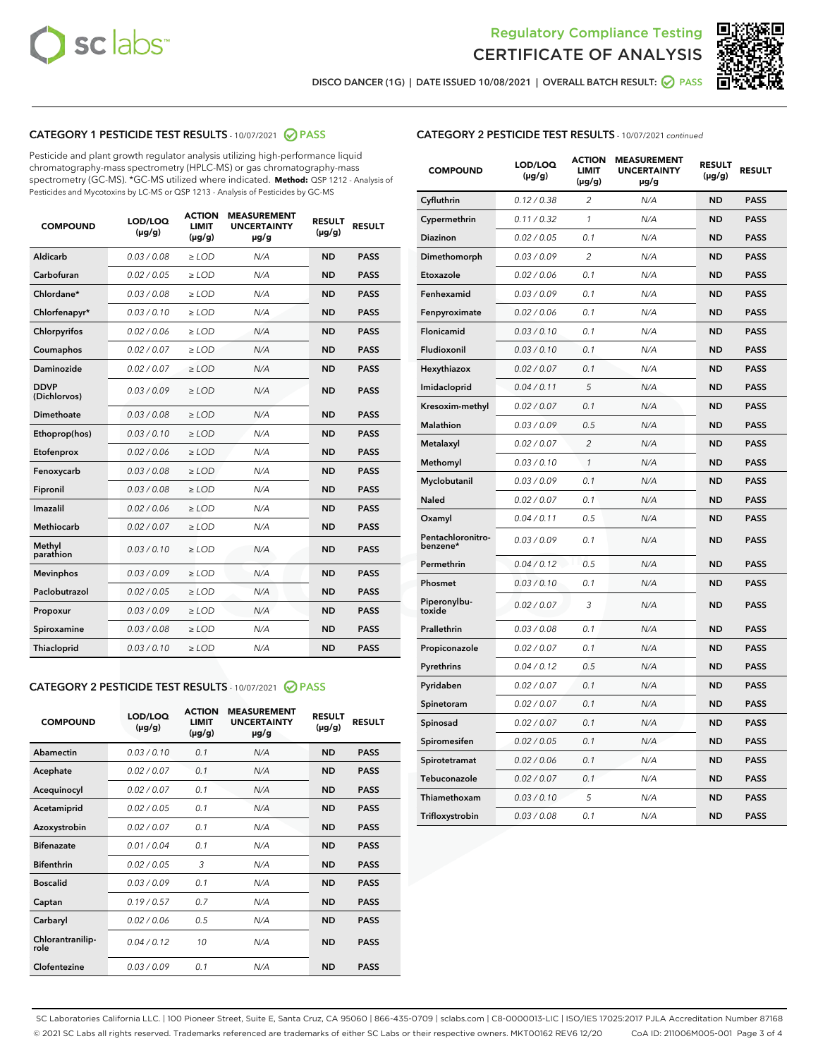



DISCO DANCER (1G) | DATE ISSUED 10/08/2021 | OVERALL BATCH RESULT: ● PASS

# CATEGORY 1 PESTICIDE TEST RESULTS - 10/07/2021 2 PASS

Pesticide and plant growth regulator analysis utilizing high-performance liquid chromatography-mass spectrometry (HPLC-MS) or gas chromatography-mass spectrometry (GC-MS). \*GC-MS utilized where indicated. **Method:** QSP 1212 - Analysis of Pesticides and Mycotoxins by LC-MS or QSP 1213 - Analysis of Pesticides by GC-MS

| 0.03/0.08<br><b>ND</b><br>Aldicarb<br>$>$ LOD<br>N/A<br><b>PASS</b><br>Carbofuran<br>0.02/0.05<br><b>PASS</b><br>$>$ LOD<br>N/A<br><b>ND</b><br>Chlordane*<br>0.03 / 0.08<br>N/A<br><b>ND</b><br><b>PASS</b><br>$\geq$ LOD<br>Chlorfenapyr*<br>0.03/0.10<br>N/A<br><b>PASS</b><br>$\geq$ LOD<br><b>ND</b><br>N/A<br><b>ND</b><br><b>PASS</b><br>Chlorpyrifos<br>0.02 / 0.06<br>$\ge$ LOD<br>Coumaphos<br>0.02 / 0.07<br>N/A<br><b>ND</b><br><b>PASS</b><br>$\ge$ LOD<br>Daminozide<br>0.02 / 0.07<br>N/A<br><b>ND</b><br><b>PASS</b><br>$\ge$ LOD<br><b>DDVP</b><br>0.03/0.09<br>$>$ LOD<br>N/A<br><b>ND</b><br><b>PASS</b><br>(Dichlorvos)<br>Dimethoate<br>0.03/0.08<br>$>$ LOD<br>N/A<br><b>ND</b><br><b>PASS</b><br>0.03/0.10<br>N/A<br><b>ND</b><br><b>PASS</b><br>Ethoprop(hos)<br>$\ge$ LOD<br>0.02 / 0.06<br>N/A<br><b>ND</b><br><b>PASS</b><br>Etofenprox<br>$\ge$ LOD<br>Fenoxycarb<br>0.03 / 0.08<br>N/A<br><b>ND</b><br><b>PASS</b><br>$\ge$ LOD<br>0.03 / 0.08<br><b>ND</b><br><b>PASS</b><br>Fipronil<br>$\ge$ LOD<br>N/A<br>Imazalil<br>0.02 / 0.06<br>$\ge$ LOD<br>N/A<br><b>ND</b><br><b>PASS</b><br>Methiocarb<br>0.02 / 0.07<br>N/A<br><b>ND</b><br><b>PASS</b><br>$\ge$ LOD<br>Methyl<br>0.03/0.10<br>$\ge$ LOD<br>N/A<br><b>ND</b><br><b>PASS</b><br>parathion<br>0.03/0.09<br><b>Mevinphos</b><br>$\ge$ LOD<br>N/A<br><b>ND</b><br><b>PASS</b><br>Paclobutrazol<br>0.02 / 0.05<br>$\ge$ LOD<br>N/A<br><b>ND</b><br><b>PASS</b><br>0.03/0.09<br>$\ge$ LOD<br>N/A<br><b>ND</b><br><b>PASS</b><br>Propoxur<br>Spiroxamine<br>0.03 / 0.08<br>$\ge$ LOD<br>N/A<br><b>ND</b><br><b>PASS</b><br>0.03/0.10<br><b>ND</b><br><b>PASS</b><br><b>Thiacloprid</b><br>$\ge$ LOD<br>N/A | <b>COMPOUND</b> | LOD/LOQ<br>$(\mu g/g)$ | <b>ACTION</b><br>LIMIT<br>$(\mu g/g)$ | <b>MEASUREMENT</b><br><b>UNCERTAINTY</b><br>$\mu$ g/g | <b>RESULT</b><br>$(\mu g/g)$ | <b>RESULT</b> |
|------------------------------------------------------------------------------------------------------------------------------------------------------------------------------------------------------------------------------------------------------------------------------------------------------------------------------------------------------------------------------------------------------------------------------------------------------------------------------------------------------------------------------------------------------------------------------------------------------------------------------------------------------------------------------------------------------------------------------------------------------------------------------------------------------------------------------------------------------------------------------------------------------------------------------------------------------------------------------------------------------------------------------------------------------------------------------------------------------------------------------------------------------------------------------------------------------------------------------------------------------------------------------------------------------------------------------------------------------------------------------------------------------------------------------------------------------------------------------------------------------------------------------------------------------------------------------------------------------------------------------------------------------------------------------------------------|-----------------|------------------------|---------------------------------------|-------------------------------------------------------|------------------------------|---------------|
|                                                                                                                                                                                                                                                                                                                                                                                                                                                                                                                                                                                                                                                                                                                                                                                                                                                                                                                                                                                                                                                                                                                                                                                                                                                                                                                                                                                                                                                                                                                                                                                                                                                                                                |                 |                        |                                       |                                                       |                              |               |
|                                                                                                                                                                                                                                                                                                                                                                                                                                                                                                                                                                                                                                                                                                                                                                                                                                                                                                                                                                                                                                                                                                                                                                                                                                                                                                                                                                                                                                                                                                                                                                                                                                                                                                |                 |                        |                                       |                                                       |                              |               |
|                                                                                                                                                                                                                                                                                                                                                                                                                                                                                                                                                                                                                                                                                                                                                                                                                                                                                                                                                                                                                                                                                                                                                                                                                                                                                                                                                                                                                                                                                                                                                                                                                                                                                                |                 |                        |                                       |                                                       |                              |               |
|                                                                                                                                                                                                                                                                                                                                                                                                                                                                                                                                                                                                                                                                                                                                                                                                                                                                                                                                                                                                                                                                                                                                                                                                                                                                                                                                                                                                                                                                                                                                                                                                                                                                                                |                 |                        |                                       |                                                       |                              |               |
|                                                                                                                                                                                                                                                                                                                                                                                                                                                                                                                                                                                                                                                                                                                                                                                                                                                                                                                                                                                                                                                                                                                                                                                                                                                                                                                                                                                                                                                                                                                                                                                                                                                                                                |                 |                        |                                       |                                                       |                              |               |
|                                                                                                                                                                                                                                                                                                                                                                                                                                                                                                                                                                                                                                                                                                                                                                                                                                                                                                                                                                                                                                                                                                                                                                                                                                                                                                                                                                                                                                                                                                                                                                                                                                                                                                |                 |                        |                                       |                                                       |                              |               |
|                                                                                                                                                                                                                                                                                                                                                                                                                                                                                                                                                                                                                                                                                                                                                                                                                                                                                                                                                                                                                                                                                                                                                                                                                                                                                                                                                                                                                                                                                                                                                                                                                                                                                                |                 |                        |                                       |                                                       |                              |               |
|                                                                                                                                                                                                                                                                                                                                                                                                                                                                                                                                                                                                                                                                                                                                                                                                                                                                                                                                                                                                                                                                                                                                                                                                                                                                                                                                                                                                                                                                                                                                                                                                                                                                                                |                 |                        |                                       |                                                       |                              |               |
|                                                                                                                                                                                                                                                                                                                                                                                                                                                                                                                                                                                                                                                                                                                                                                                                                                                                                                                                                                                                                                                                                                                                                                                                                                                                                                                                                                                                                                                                                                                                                                                                                                                                                                |                 |                        |                                       |                                                       |                              |               |
|                                                                                                                                                                                                                                                                                                                                                                                                                                                                                                                                                                                                                                                                                                                                                                                                                                                                                                                                                                                                                                                                                                                                                                                                                                                                                                                                                                                                                                                                                                                                                                                                                                                                                                |                 |                        |                                       |                                                       |                              |               |
|                                                                                                                                                                                                                                                                                                                                                                                                                                                                                                                                                                                                                                                                                                                                                                                                                                                                                                                                                                                                                                                                                                                                                                                                                                                                                                                                                                                                                                                                                                                                                                                                                                                                                                |                 |                        |                                       |                                                       |                              |               |
|                                                                                                                                                                                                                                                                                                                                                                                                                                                                                                                                                                                                                                                                                                                                                                                                                                                                                                                                                                                                                                                                                                                                                                                                                                                                                                                                                                                                                                                                                                                                                                                                                                                                                                |                 |                        |                                       |                                                       |                              |               |
|                                                                                                                                                                                                                                                                                                                                                                                                                                                                                                                                                                                                                                                                                                                                                                                                                                                                                                                                                                                                                                                                                                                                                                                                                                                                                                                                                                                                                                                                                                                                                                                                                                                                                                |                 |                        |                                       |                                                       |                              |               |
|                                                                                                                                                                                                                                                                                                                                                                                                                                                                                                                                                                                                                                                                                                                                                                                                                                                                                                                                                                                                                                                                                                                                                                                                                                                                                                                                                                                                                                                                                                                                                                                                                                                                                                |                 |                        |                                       |                                                       |                              |               |
|                                                                                                                                                                                                                                                                                                                                                                                                                                                                                                                                                                                                                                                                                                                                                                                                                                                                                                                                                                                                                                                                                                                                                                                                                                                                                                                                                                                                                                                                                                                                                                                                                                                                                                |                 |                        |                                       |                                                       |                              |               |
|                                                                                                                                                                                                                                                                                                                                                                                                                                                                                                                                                                                                                                                                                                                                                                                                                                                                                                                                                                                                                                                                                                                                                                                                                                                                                                                                                                                                                                                                                                                                                                                                                                                                                                |                 |                        |                                       |                                                       |                              |               |
|                                                                                                                                                                                                                                                                                                                                                                                                                                                                                                                                                                                                                                                                                                                                                                                                                                                                                                                                                                                                                                                                                                                                                                                                                                                                                                                                                                                                                                                                                                                                                                                                                                                                                                |                 |                        |                                       |                                                       |                              |               |
|                                                                                                                                                                                                                                                                                                                                                                                                                                                                                                                                                                                                                                                                                                                                                                                                                                                                                                                                                                                                                                                                                                                                                                                                                                                                                                                                                                                                                                                                                                                                                                                                                                                                                                |                 |                        |                                       |                                                       |                              |               |
|                                                                                                                                                                                                                                                                                                                                                                                                                                                                                                                                                                                                                                                                                                                                                                                                                                                                                                                                                                                                                                                                                                                                                                                                                                                                                                                                                                                                                                                                                                                                                                                                                                                                                                |                 |                        |                                       |                                                       |                              |               |
|                                                                                                                                                                                                                                                                                                                                                                                                                                                                                                                                                                                                                                                                                                                                                                                                                                                                                                                                                                                                                                                                                                                                                                                                                                                                                                                                                                                                                                                                                                                                                                                                                                                                                                |                 |                        |                                       |                                                       |                              |               |
|                                                                                                                                                                                                                                                                                                                                                                                                                                                                                                                                                                                                                                                                                                                                                                                                                                                                                                                                                                                                                                                                                                                                                                                                                                                                                                                                                                                                                                                                                                                                                                                                                                                                                                |                 |                        |                                       |                                                       |                              |               |

# CATEGORY 2 PESTICIDE TEST RESULTS - 10/07/2021 @ PASS

| <b>COMPOUND</b>          | LOD/LOO<br>$(\mu g/g)$ | <b>ACTION</b><br>LIMIT<br>$(\mu g/g)$ | <b>MEASUREMENT</b><br><b>UNCERTAINTY</b><br>$\mu$ g/g | <b>RESULT</b><br>$(\mu g/g)$ | <b>RESULT</b> |  |
|--------------------------|------------------------|---------------------------------------|-------------------------------------------------------|------------------------------|---------------|--|
| Abamectin                | 0.03/0.10              | 0.1                                   | N/A                                                   | <b>ND</b>                    | <b>PASS</b>   |  |
| Acephate                 | 0.02/0.07              | 0.1                                   | N/A                                                   | <b>ND</b>                    | <b>PASS</b>   |  |
| Acequinocyl              | 0.02/0.07              | 0.1                                   | N/A                                                   | <b>ND</b>                    | <b>PASS</b>   |  |
| Acetamiprid              | 0.02/0.05              | 0.1                                   | N/A                                                   | <b>ND</b>                    | <b>PASS</b>   |  |
| Azoxystrobin             | 0.02/0.07              | 0.1                                   | N/A                                                   | <b>ND</b>                    | <b>PASS</b>   |  |
| <b>Bifenazate</b>        | 0.01/0.04              | 0.1                                   | N/A                                                   | <b>ND</b>                    | <b>PASS</b>   |  |
| <b>Bifenthrin</b>        | 0.02/0.05              | 3                                     | N/A                                                   | <b>ND</b>                    | <b>PASS</b>   |  |
| <b>Boscalid</b>          | 0.03/0.09              | 0.1                                   | N/A                                                   | <b>ND</b>                    | <b>PASS</b>   |  |
| Captan                   | 0.19/0.57              | 0.7                                   | N/A                                                   | <b>ND</b>                    | <b>PASS</b>   |  |
| Carbaryl                 | 0.02/0.06              | 0.5                                   | N/A                                                   | <b>ND</b>                    | <b>PASS</b>   |  |
| Chlorantranilip-<br>role | 0.04/0.12              | 10                                    | N/A                                                   | <b>ND</b>                    | <b>PASS</b>   |  |
| Clofentezine             | 0.03/0.09              | 0.1                                   | N/A                                                   | <b>ND</b>                    | <b>PASS</b>   |  |

| <b>CATEGORY 2 PESTICIDE TEST RESULTS</b> - 10/07/2021 continued |
|-----------------------------------------------------------------|
|-----------------------------------------------------------------|

| <b>COMPOUND</b>               | LOD/LOQ<br>(µg/g) | <b>ACTION</b><br>LIMIT<br>$(\mu g/g)$ | <b>MEASUREMENT</b><br><b>UNCERTAINTY</b><br>µg/g | <b>RESULT</b><br>(µg/g) | <b>RESULT</b> |
|-------------------------------|-------------------|---------------------------------------|--------------------------------------------------|-------------------------|---------------|
| Cyfluthrin                    | 0.12 / 0.38       | 2                                     | N/A                                              | <b>ND</b>               | <b>PASS</b>   |
| Cypermethrin                  | 0.11 / 0.32       | $\mathcal{I}$                         | N/A                                              | <b>ND</b>               | <b>PASS</b>   |
| Diazinon                      | 0.02 / 0.05       | 0.1                                   | N/A                                              | <b>ND</b>               | <b>PASS</b>   |
| Dimethomorph                  | 0.03 / 0.09       | 2                                     | N/A                                              | <b>ND</b>               | <b>PASS</b>   |
| Etoxazole                     | 0.02 / 0.06       | 0.1                                   | N/A                                              | <b>ND</b>               | <b>PASS</b>   |
| Fenhexamid                    | 0.03 / 0.09       | 0.1                                   | N/A                                              | <b>ND</b>               | <b>PASS</b>   |
| Fenpyroximate                 | 0.02 / 0.06       | 0.1                                   | N/A                                              | <b>ND</b>               | <b>PASS</b>   |
| Flonicamid                    | 0.03 / 0.10       | 0.1                                   | N/A                                              | <b>ND</b>               | <b>PASS</b>   |
| Fludioxonil                   | 0.03 / 0.10       | 0.1                                   | N/A                                              | <b>ND</b>               | <b>PASS</b>   |
| Hexythiazox                   | 0.02 / 0.07       | 0.1                                   | N/A                                              | <b>ND</b>               | <b>PASS</b>   |
| Imidacloprid                  | 0.04 / 0.11       | 5                                     | N/A                                              | <b>ND</b>               | <b>PASS</b>   |
| Kresoxim-methyl               | 0.02 / 0.07       | 0.1                                   | N/A                                              | <b>ND</b>               | <b>PASS</b>   |
| Malathion                     | 0.03 / 0.09       | 0.5                                   | N/A                                              | <b>ND</b>               | <b>PASS</b>   |
| Metalaxyl                     | 0.02 / 0.07       | $\overline{c}$                        | N/A                                              | <b>ND</b>               | <b>PASS</b>   |
| Methomyl                      | 0.03 / 0.10       | $\mathcal{I}$                         | N/A                                              | <b>ND</b>               | <b>PASS</b>   |
| Myclobutanil                  | 0.03 / 0.09       | 0.1                                   | N/A                                              | <b>ND</b>               | <b>PASS</b>   |
| Naled                         | 0.02 / 0.07       | 0.1                                   | N/A                                              | <b>ND</b>               | <b>PASS</b>   |
| Oxamyl                        | 0.04 / 0.11       | 0.5                                   | N/A                                              | <b>ND</b>               | <b>PASS</b>   |
| Pentachloronitro-<br>benzene* | 0.03/0.09         | 0.1                                   | N/A                                              | <b>ND</b>               | <b>PASS</b>   |
| Permethrin                    | 0.04 / 0.12       | 0.5                                   | N/A                                              | <b>ND</b>               | <b>PASS</b>   |
| Phosmet                       | 0.03 / 0.10       | 0.1                                   | N/A                                              | <b>ND</b>               | <b>PASS</b>   |
| Piperonylbu-<br>toxide        | 0.02 / 0.07       | 3                                     | N/A                                              | <b>ND</b>               | <b>PASS</b>   |
| Prallethrin                   | 0.03 / 0.08       | 0.1                                   | N/A                                              | <b>ND</b>               | <b>PASS</b>   |
| Propiconazole                 | 0.02 / 0.07       | 0.1                                   | N/A                                              | <b>ND</b>               | <b>PASS</b>   |
| Pyrethrins                    | 0.04 / 0.12       | 0.5                                   | N/A                                              | <b>ND</b>               | <b>PASS</b>   |
| Pyridaben                     | 0.02 / 0.07       | 0.1                                   | N/A                                              | <b>ND</b>               | <b>PASS</b>   |
| Spinetoram                    | 0.02 / 0.07       | 0.1                                   | N/A                                              | <b>ND</b>               | <b>PASS</b>   |
| Spinosad                      | 0.02 / 0.07       | 0.1                                   | N/A                                              | <b>ND</b>               | <b>PASS</b>   |
| Spiromesifen                  | 0.02 / 0.05       | 0.1                                   | N/A                                              | <b>ND</b>               | <b>PASS</b>   |
| Spirotetramat                 | 0.02 / 0.06       | 0.1                                   | N/A                                              | <b>ND</b>               | <b>PASS</b>   |
| Tebuconazole                  | 0.02 / 0.07       | 0.1                                   | N/A                                              | <b>ND</b>               | <b>PASS</b>   |
| Thiamethoxam                  | 0.03 / 0.10       | 5                                     | N/A                                              | <b>ND</b>               | <b>PASS</b>   |
| Trifloxystrobin               | 0.03 / 0.08       | 0.1                                   | N/A                                              | <b>ND</b>               | <b>PASS</b>   |

SC Laboratories California LLC. | 100 Pioneer Street, Suite E, Santa Cruz, CA 95060 | 866-435-0709 | sclabs.com | C8-0000013-LIC | ISO/IES 17025:2017 PJLA Accreditation Number 87168 © 2021 SC Labs all rights reserved. Trademarks referenced are trademarks of either SC Labs or their respective owners. MKT00162 REV6 12/20 CoA ID: 211006M005-001 Page 3 of 4